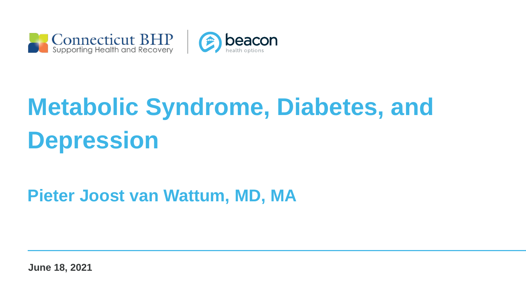



# **Metabolic Syndrome, Diabetes, and Depression**

#### **Pieter Joost van Wattum, MD, MA**

**June 18, 2021**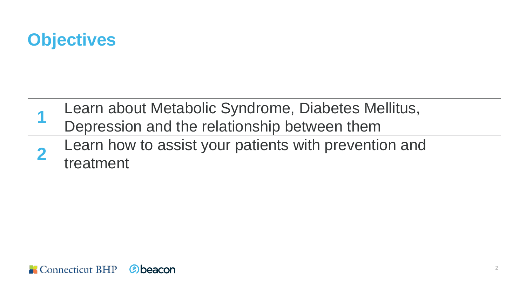

- **1** Learn about Metabolic Syndrome, Diabetes Mellitus, Depression and the relationship between them
- **2** Learn how to assist your patients with prevention and treatment

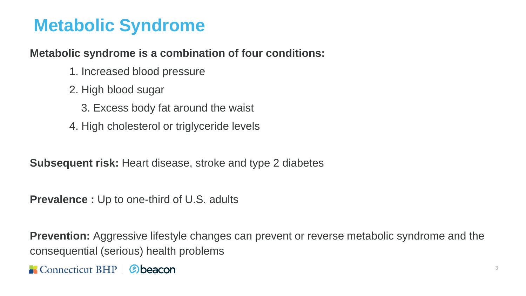#### **Metabolic Syndrome**

#### **Metabolic syndrome is a combination of four conditions:**

- 1. Increased blood pressure
- 2. High blood sugar
	- 3. Excess body fat around the waist
- 4. High cholesterol or triglyceride levels

**Subsequent risk:** Heart disease, stroke and type 2 diabetes

**Prevalence :** Up to one-third of U.S. adults

**Prevention:** Aggressive lifestyle changes can prevent or reverse metabolic syndrome and the consequential (serious) health problems

Connecticut BHP | @beacon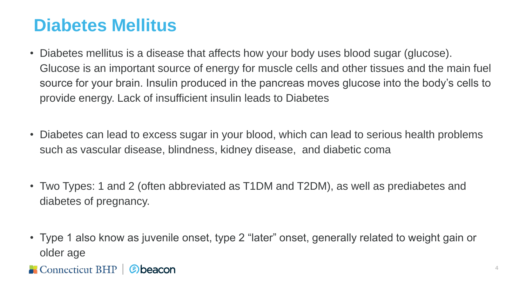#### **Diabetes Mellitus**

- Diabetes mellitus is a disease that affects how your body uses blood sugar (glucose). Glucose is an important source of energy for muscle cells and other tissues and the main fuel source for your brain. Insulin produced in the pancreas moves glucose into the body's cells to provide energy. Lack of insufficient insulin leads to Diabetes
- Diabetes can lead to excess sugar in your blood, which can lead to serious health problems such as vascular disease, blindness, kidney disease, and diabetic coma
- Two Types: 1 and 2 (often abbreviated as T1DM and T2DM), as well as prediabetes and diabetes of pregnancy.
- Type 1 also know as juvenile onset, type 2 "later" onset, generally related to weight gain or older age
- Connecticut BHP | Cobeacon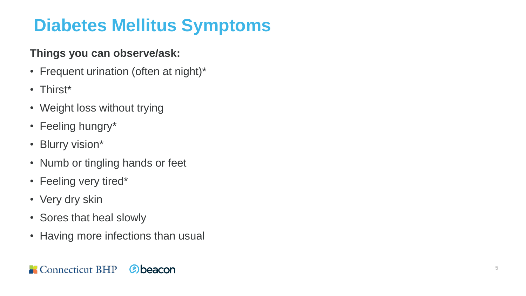### **Diabetes Mellitus Symptoms**

#### **Things you can observe/ask:**

- Frequent urination (often at night)\*
- Thirst\*
- Weight loss without trying
- Feeling hungry\*
- Blurry vision\*
- Numb or tingling hands or feet
- Feeling very tired\*
- Very dry skin
- Sores that heal slowly
- Having more infections than usual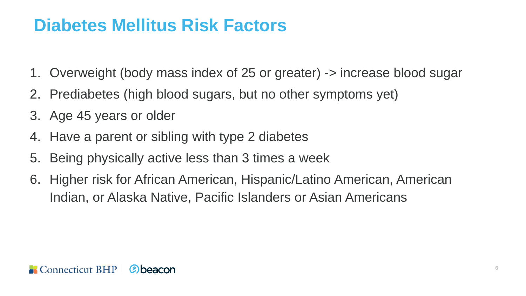#### **Diabetes Mellitus Risk Factors**

- 1. Overweight (body mass index of 25 or greater) -> increase blood sugar
- 2. Prediabetes (high blood sugars, but no other symptoms yet)
- 3. Age 45 years or older
- 4. Have a parent or sibling with type 2 diabetes
- 5. Being physically active less than 3 times a week
- 6. Higher risk for African American, Hispanic/Latino American, American Indian, or Alaska Native, Pacific Islanders or Asian Americans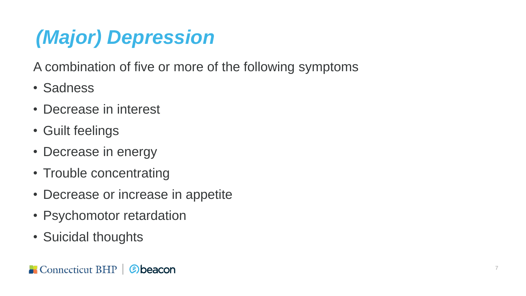## *(Major) Depression*

A combination of five or more of the following symptoms

- Sadness
- Decrease in interest
- Guilt feelings
- Decrease in energy
- Trouble concentrating
- Decrease or increase in appetite
- Psychomotor retardation
- Suicidal thoughts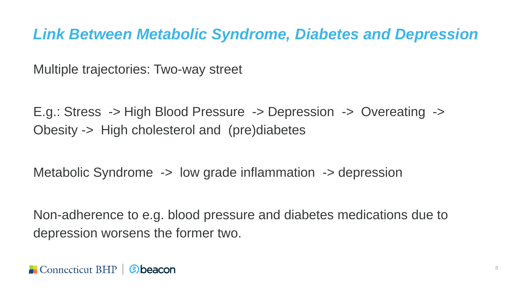#### *Link Between Metabolic Syndrome, Diabetes and Depression*

Multiple trajectories: Two-way street

E.g.: Stress -> High Blood Pressure -> Depression -> Overeating -> Obesity -> High cholesterol and (pre)diabetes

Metabolic Syndrome -> low grade inflammation -> depression

Non-adherence to e.g. blood pressure and diabetes medications due to depression worsens the former two.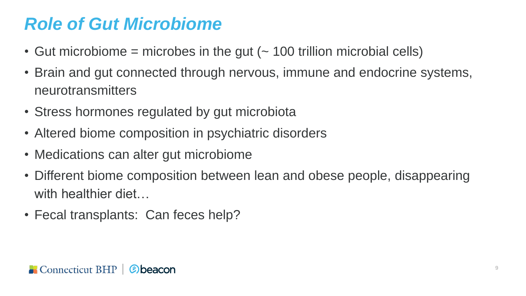#### *Role of Gut Microbiome*

- Gut microbiome = microbes in the gut  $($   $\sim$  100 trillion microbial cells)
- Brain and gut connected through nervous, immune and endocrine systems, neurotransmitters
- Stress hormones regulated by gut microbiota
- Altered biome composition in psychiatric disorders
- Medications can alter gut microbiome
- Different biome composition between lean and obese people, disappearing with healthier diet...
- Fecal transplants: Can feces help?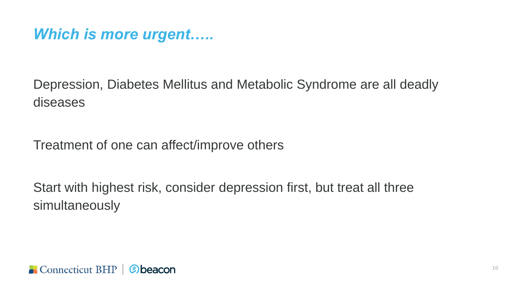#### *Which is more urgent…..*

Depression, Diabetes Mellitus and Metabolic Syndrome are all deadly diseases

Treatment of one can affect/improve others

Start with highest risk, consider depression first, but treat all three simultaneously

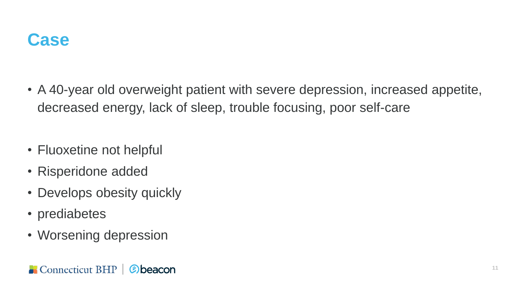

- A 40-year old overweight patient with severe depression, increased appetite, decreased energy, lack of sleep, trouble focusing, poor self-care
- Fluoxetine not helpful
- Risperidone added
- Develops obesity quickly
- prediabetes
- Worsening depression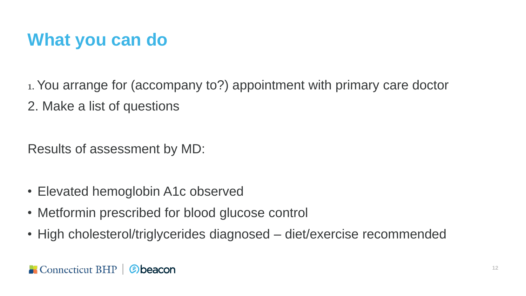#### **What you can do**

1. You arrange for (accompany to?) appointment with primary care doctor 2. Make a list of questions

Results of assessment by MD:

- Elevated hemoglobin A1c observed
- Metformin prescribed for blood glucose control
- High cholesterol/triglycerides diagnosed diet/exercise recommended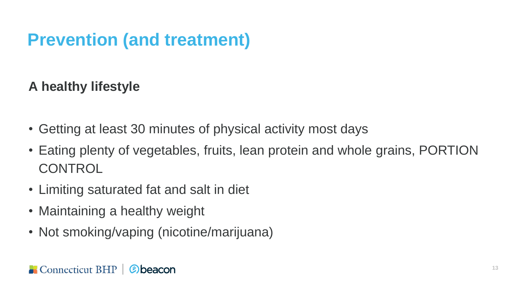#### **Prevention (and treatment)**

#### **A healthy lifestyle**

- Getting at least 30 minutes of physical activity most days
- Eating plenty of vegetables, fruits, lean protein and whole grains, PORTION **CONTROL**
- Limiting saturated fat and salt in diet
- Maintaining a healthy weight
- Not smoking/vaping (nicotine/marijuana)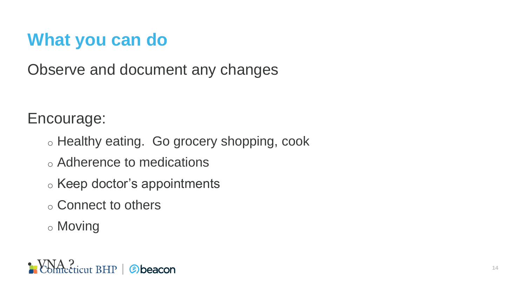#### **What you can do**

Observe and document any changes

Encourage:

- o Healthy eating. Go grocery shopping, cook
- o Adherence to medications
- o Keep doctor's appointments
- o Connect to others
- o Moving

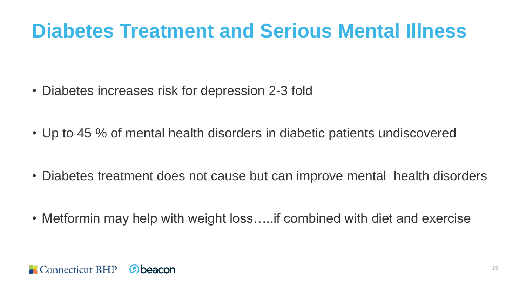### **Diabetes Treatment and Serious Mental Illness**

- Diabetes increases risk for depression 2-3 fold
- Up to 45 % of mental health disorders in diabetic patients undiscovered
- Diabetes treatment does not cause but can improve mental health disorders
- Metformin may help with weight loss…..if combined with diet and exercise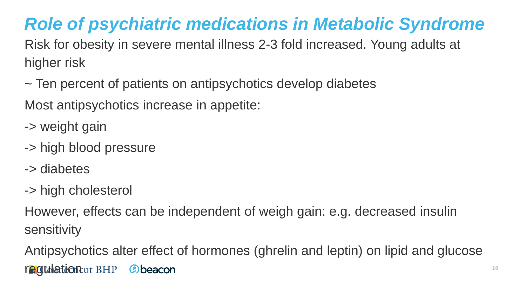### *Role of psychiatric medications in Metabolic Syndrome*

Risk for obesity in severe mental illness 2-3 fold increased. Young adults at higher risk

~ Ten percent of patients on antipsychotics develop diabetes

Most antipsychotics increase in appetite:

- -> weight gain
- -> high blood pressure
- -> diabetes
- -> high cholesterol

However, effects can be independent of weigh gain: e.g. decreased insulin sensitivity

Antipsychotics alter effect of hormones (ghrelin and leptin) on lipid and glucose regulation ut BHP | @ beacon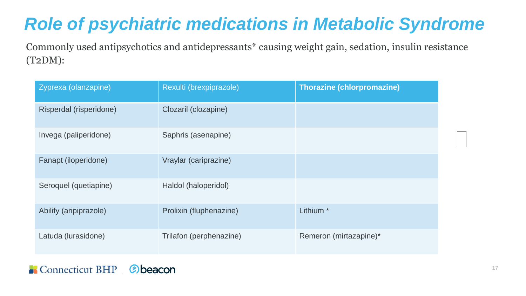### *Role of psychiatric medications in Metabolic Syndrome*

Commonly used antipsychotics and antidepressants\* causing weight gain, sedation, insulin resistance (T2DM):

| Zyprexa (olanzapine)    | Rexulti (brexpiprazole) | <b>Thorazine (chlorpromazine)</b> |  |
|-------------------------|-------------------------|-----------------------------------|--|
| Risperdal (risperidone) | Clozaril (clozapine)    |                                   |  |
| Invega (paliperidone)   | Saphris (asenapine)     |                                   |  |
| Fanapt (iloperidone)    | Vraylar (cariprazine)   |                                   |  |
| Seroquel (quetiapine)   | Haldol (haloperidol)    |                                   |  |
| Abilify (aripiprazole)  | Prolixin (fluphenazine) | Lithium <sup>*</sup>              |  |
| Latuda (lurasidone)     | Trilafon (perphenazine) | Remeron (mirtazapine)*            |  |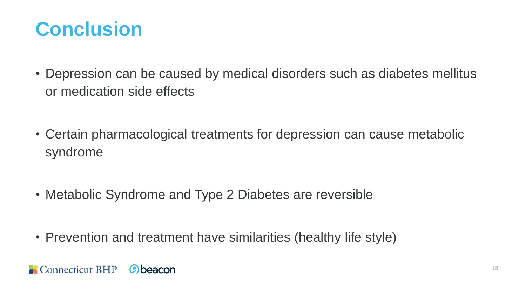### **Conclusion**

- Depression can be caused by medical disorders such as diabetes mellitus or medication side effects
- Certain pharmacological treatments for depression can cause metabolic syndrome
- Metabolic Syndrome and Type 2 Diabetes are reversible
- Prevention and treatment have similarities (healthy life style)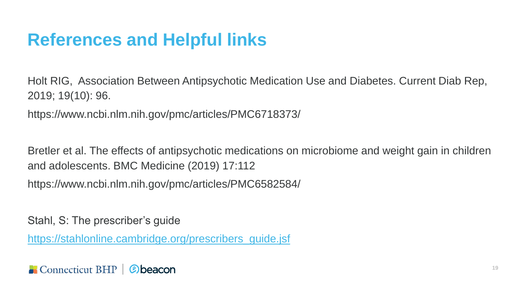#### **References and Helpful links**

Holt RIG, Association Between Antipsychotic Medication Use and Diabetes. Current Diab Rep, 2019; 19(10): 96.

https://www.ncbi.nlm.nih.gov/pmc/articles/PMC6718373/

Bretler et al. The effects of antipsychotic medications on microbiome and weight gain in children and adolescents. BMC Medicine (2019) 17:112

https://www.ncbi.nlm.nih.gov/pmc/articles/PMC6582584/

Stahl, S: The prescriber's guide

[https://stahlonline.cambridge.org/prescribers\\_guide.jsf](https://stahlonline.cambridge.org/prescribers_guide.jsf)

Connecticut BHP | Cobeacon